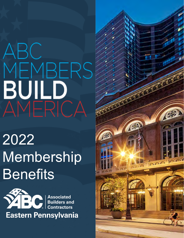## ABC MEMBERS **BUILD**<br>AMERICA

2022 Membership **Benefits** 



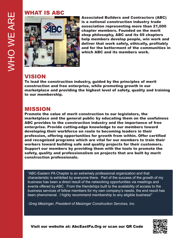#### WHAT IS ABC



Associated Builders and Contractors (ABC) is a national construction industry trade association representing more than 21,000 chapter members. Founded on the merit shop philosophy, ABC and its 69 chapters help members develop people, win work and deliver that work safely, ethically, profitably and for the betterment of the communities in which ABC and its members work.

#### VISION

To lead the construction industry, guided by the principles of merit construction and free enterprise, while promoting growth in our marketplace and providing the highest level of safety, quality and training to our membership.

#### MISSION

Promote the value of merit construction to our legislators, the marketplace and the general public by educating them on the usefulness ABC provides to the construction industry and the importance of free enterprise. Provide cutting-edge knowledge to our members toward developing their workforce en route to becoming leaders in their profession, offering opportunities for growth from within. Offer certified and recognized programs which are vital for our members to train their workers toward building safe and quality projects for their customers. Support our members by providing them with the tools to promote the safety, quality and professionalism on projects that are built by merit construction professionals.

"ABC-Eastern PA Chapter is an extremely professional organization and that characteristic is exhibited by everyone there. Part of the success of the growth of my business has been a direct result of the networking opportunities via meetings and events offered by ABC. From the friendships built to the availability of access to the business services of fellow members for my own company's needs, the end result has been phenomenal. I highly recommend membership to any eligible business!"

*-Greg Meizinger, President of Meizinger Construction Services, Inc.*



Visit our website at: AbcEastPa.Org or scan our QR Code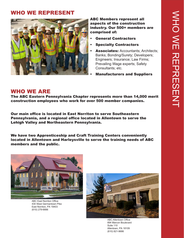#### WHO WE REPRESENT



ABC Members represent all aspects of the construction industry. Our 500+ members are comprised of:

- General Contractors
- **Specialty Contractors**
- Associates: Accountants; Architects; Banks; Bonding/Surety; Developers; Engineers; Insurance; Law Firms; Prevailing Wage experts; Safety Consultants; etc.
	- Manufacturers and Suppliers

#### WHO WE ARE

The ABC Eastern Pennsylvania Chapter represents more than 14,000 merit construction employees who work for over 500 member companies.

Our main office is located in East Norriton to serve Southeastern Pennsylvania, and a regional office located in Allentown to serve the Lehigh Valley and Northeastern Pennsylvania.

We have two Apprenticeship and Craft Training Centers conveniently located in Allentown and Harleysville to serve the training needs of ABC members and the public.



ABC East Norriton Office 430 West Germantown Pike East Norriton, PA 19403 (610) 279-6666



ABC Allentown Office 894 Marcon Boulevard Suite 110 Allentown, PA 18109 (610) 821-9686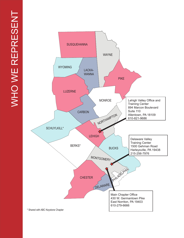

**TERRITORY MAP**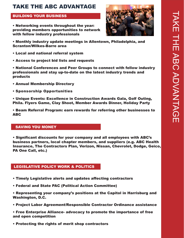# TAKE THE ABC ADVANTAGE AKE THE ABC ADVANTAGE

#### TAKE THE ABC ADVANTAGE

#### BUILDING YOUR BUSINESS

• Networking events throughout the year: providing members opportunities to network with fellow industry professionals



• Monthly industry update meetings in Allentown, Philadelphia, and Scranton/Wilkes-Barre area

- Local and national referral system
- Access to project bid lists and requests

• National Conferences and Peer Groups to connect with fellow industry professionals and stay up-to-date on the latest industry trends and products

- Annual Membership Directory
- Sponsorship Opportunities

• Unique Events: Excellence in Construction Awards Gala, Golf Outing, Phila. Flyers Game, Clay Shoot, Member Awards Dinner, Holiday Party

• Beam Referral Program: earn rewards for referring other businesses to ABC

#### SAVING YOU MONEY

• Significant discounts for your company and all employees with ABC's business partners, local chapter members, and suppliers (e.g. ABC Health Insurance, The Contractors Plan, Verizon, Nissan, Chevrolet, Dodge, Geico, PA One Call, etc.)

#### LEGISLATIVE POLICY WORK & POLITICS

- Timely Legislative alerts and updates affecting contractors
- Federal and State PAC (Political Action Committee)

• Representing your company's positions at the Capitol in Harrisburg and Washington, D.C.

- Project Labor Agreement/Responsible Contractor Ordinance assistance
- Free Enterprise Alliance- advocacy to promote the importance of free and open competition
- Protecting the rights of merit shop contractors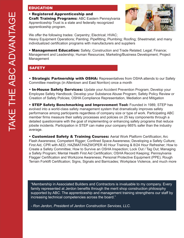#### EDUCATION

#### • Registered Apprenticeship and

**Craft Training Programs: ABC Eastern Pennsylvania** Apprenticeship Trust is a state and federally recognized apprenticeship program.



We offer the following trades: Carpentry; Electrical; HVAC;

Heavy Equipment Operations; Painting; Pipefitting; Plumbing; Roofing; Sheetmetal; and many individualized certification programs with manufacturers and suppliers

• Management Education: Safety; Construction and Trade Related; Legal; Finance; Management and Leadership; Human Resources; Marketing/Business Development; Project Management

#### **SAFETY**

• Strategic Partnership with OSHA: Representatives from OSHA attends to our Safety Committee meetings (in Allentown and East Norriton) once a month

• In-House Safety Services: Update your Accident Prevention Program; Develop your Employee Safety Handbook; Develop your Substance Abuse Program; Safety Policy Review or Creation of Safety Policies; OSHA Compliance Representation, Mediation and Mitigation

• STEP Safety Benchmarking and Improvement Tool: Founded in 1989, STEP has evolved into a world-class safety management system that dramatically improves safety performance among participants regardless of company size or type of work. Participating ABC member firms measure their safety processes and policies on 25 key components through a detailed questionnaire with the goal of implementing or enhancing safety programs that reduce jobsite incidents. Participation in STEP can make your company 665% safer than the industry average.

• Customized Safety & Training Courses: Aerial Work Platform Certification; Arc Flash Awareness; Competent Rigger; Confined Space Awareness; Developing a Safety Culture; First Aid, CPR with AED; HAZMAT/HAZWOPER 40 Hour Training & 8/24 Hour Refresher; How to Create a Safety Committee; How to Survive an OSHA Inspection; Lock Out / Tag Out; Managing a Safety Program; Mental Health First Aid Certification; OSHA Record Keeping; Pennsylvania Flagger Certification and Workzone Awareness; Personal Protective Equipment (PPE); Rough Terrain Forklift Certification; Signs, Signals and Barricades; Workplace Violence, and much more

"Membership in Associated Builders and Contractors is invaluable to my company. Every family represented at Jerdon benefits through the merit shop construction philosophy supported by ABC. The apprenticeship and management training strengthens our staff by increasing technical competencies across the board."

*- Ron Jerdon, President of Jerdon Construction Services, LLC.*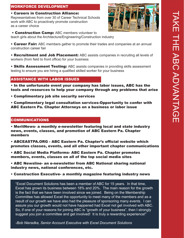# TAKE THE ABC ADVANTAGE AKE THE ABC ADVANTAGE

#### WORKFORCE DEVELOPMENT

#### • Careers in Construction Alliance:

Representatives from over 30 of Career Technical Schools work with ABC to proactively promote construction as a career choice



- Construction Camp: ABC members volunteer to teach girls about the Architecture/Engineering/Construction industry
- Career Fair: ABC members gather to promote their trades and companies at an annual construction career fair
- Recruitment and Job Placement: ABC assists companies in recruiting all levels of workers (from field to front office) for your business
- Skills Assessment Testing: ABC assists companies in providing skills assessment testing to ensure you are hiring a qualified skilled worker for your business

#### ASSISTANCE WITH LABOR ISSUES

- In the unfortunate event your company has labor issues, ABC has the tools and resources to help your company through any problems that arise
- Complimentary job site security services ENTARY LEGAL CONSULTATION
- Complimentary legal consultation services-Opportunity to confer with ABC Eastern Pa. Chapter Attorneys on a business or labor issue

#### COMMUNICATIONS

• MeritNews- a monthly e-newsletter featuring local and state industry news, events, classes, and promotion of ABC Eastern Pa. Chapter members

- ABCEASTPA.ORG ABC Eastern Pa. Chapter's official website which promotes classes, events, and all other important chapter communications
- ABC Social Media Platforms- ABC Eastern Pa. Chapter promotes members, events, classes on all of the top social media sites
- ABC Newsline- an e-newsletter from ABC National sharing national industry news, national conferences, etc.
- Construction Executive- a monthly magazine featuring industry news

"Excel Document Solutions has been a member of ABC for 15 years. In that time, Excel has grown its business between 18% and 20%. The main reason for the growth is the fact that we have been involved since we joined. Being on the Membership Committee has allowed Excel the opportunity to meet many of the members and as a result of our growth we have also had the pleasure of sponsoring many events. I can assure you our growth would not have happened had Excel not get involved with ABC. So, if one of your reasons for joining ABC is "growth of your business", then I strongly suggest you join a committee and get involved! It is truly a rewarding experience!"

*-Bob Nieradka, Senior Account Executive with Excel Document Solutions*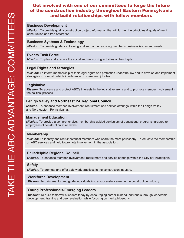#### **Get involved with one of our committees to forge the future<br>f the construction industry throughout Eastern Pennsylvania** and build relationships with fellow members and help shape relationships with fellow members of the construction industry throughout Eastern Pennsylvania

#### **Business Development**

*Mission:* To provide quality construction project information that will further the principles & goals of merit construction and free enterprise.

#### **Business Systems & Technology**

*Mission:* To provide guidance, training and support in resolving member's business issues and needs.

#### **Events Task Force**

*Mission:* To plan and execute the social and networking activities of the chapter.

#### **Legal Rights and Strategies**

*Mission:* To inform membership of their legal rights and protection under the law and to develop and implement strategies to combat outside interference on members' jobsites.

#### **Legislative**

*Mission:* To advance and protect ABC's interests in the legislative arena and to promote member involvement in the political process.

#### **Lehigh Valley and Northeast PA Regional Council**

*Mission:* To enhance member involvement, recruitment and service offerings within the Lehigh Valley and Northeastern Pennsylvania.

#### **Management Education**

*Mission:* To provide a comprehensive, membership-guided curriculum of educational programs targeted to employees of construction at all levels.

#### **Membership**

*Mission:* To identify and recruit potential members who share the merit philosophy. To educate the membership on ABC services and help to promote involvement in the association.

#### **Philadelphia Regional Council**

*Mission:* To enhance member involvement, recruitment and service offerings within the City of Philadelphia.

#### **Safety**

*Mission:* To promote and offer safe work practices in the construction industry.

#### **Workforce Development**

 *Mission:* To train, mentor and guide individuals into a successful career in the construction industry.

#### **Young Professionals/Emerging Leaders**

*Mission:* To build tomorrow's leaders today by encouraging career-minded individuals through leadership development, training and peer evaluation while focusing on merit philosophy.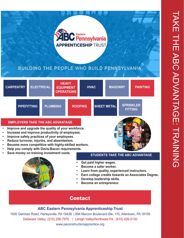

#### BUILDING THE PEOPLE WHO BUILD PENNSYLVANIA



- 
- **Learn from quality, experienced instructors.**
- **Earn college credits towards an Associates Degree.**
- **Develop leadership skills.**
- **Become an entrepreneur.**

#### Contact

#### **ABC Eastern Pennsylvania Apprenticeship Trust**

1500 Gehman Road, Harleysville, PA 19438 | 894 Marcon Boulevard-Ste. 110, Allentown, PA 18109 Delaware Valley: (215) 256-7976 | Lehigh Valley/Northeast Pa.: (610) 426-0130 www.paconstructionapprentice.org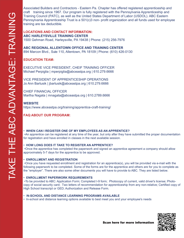Associated Builders and Contractors - Eastern Pa. Chapter has offered registered apprenticeship and craft training since 1967. Our program is fully registered with the Pennsylvania Apprenticeship and Training Council (PATC), as well as the United States Department of Labor (USDOL). ABC Eastern Pennsylvania Apprenticeship Trust is a 501(c)3 non- profit organization and all funds used for employee training are tax deductible.

#### **LOCATIONS AND CONTACT INFORMATION: ABC HARLEYSVILLE TRAINING CENTER**

1500 Gehman Road, Harleysville, PA 19438 | Phone: (215) 256-7976

**ABC REGIONAL ALLENTOWN OFFICE AND TRAINING CENTER**

894 Marcon Blvd., Sute 110, Allentown, PA 18109 | Phone: (610) 426-0130

#### **EDUCATION TEAM:**

EXECUTIVE VICE PRESIDENT, CHEIF TRAINING OFFICER Michael Perpiglia | mperpiglia@abceastpa.org | 610.279.6666

VICE PRESIDENT OF APPRENTICESHIP OPERATIONS Jo Ann Bartusik | jbartusik@abceastpa.org | 610.279.6666

CHIEF FINANCIAL OFFICER Martha Nagata | mnagata@abceastpa.org | 610.2789.6666

#### **WEBSITE**

https://www.abceastpa.org/training/apprentice-craft-training/

#### **FAQ ABOUT OUR PROGRAM:**

#### • **WHEN CAN I REGISTER ONE OF MY EMPLOYEES AS AN APPRENTICE?**

•An apprentice can be registered at any time of the year, but only after they have submitted the proper documentation for registration and have enrolled in classes in the next available session.

#### • **HOW LONG DOES IT TAKE TO REGISTER AN APPRENTICE?**

•Once the apprentice has completed the paperwork and signed an apprentice agreement a company should allow approximately 5-7 days for the apprentice to be approved.

#### • **ENROLLMENT AND REGISTRATION**

•Once you have requested enrollment and registration for an apprentice(s), you will be provided via e-mail with the following paperwork to be completed. Some of the forms are for the apprentice and others are for you to complete as the "employer". There are also some other documents you will have to provide to ABC. They are listed below.

#### • **ENROLLMENT PAPERWORK REQUIREMENTS**

•To be provided to ABC: Application Form; Completed I-9 form; Photocopy of current, valid driver's license; Photocopy of social security card; Two letters of recommendation for apprenticeship from any non-relative; Certified copy of High School transcript or GED; Authorization and Release Form.

#### • I**N-SCHOOL AND DISTANCE LEARNING PROGRAMS AVAILABLE**

• In-school and distance learning options available to best meet you and your employee's needs



Scan here for more information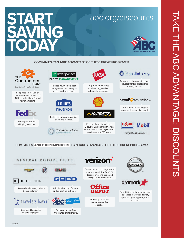# TAKE THE ABC ADVANTAGE: DISCOUNTS AKE THE ABC ADVANTAGE: DISCOUNTS

### **START SAVING TODAY**

#### abc.org/discounts



#### **COMPANIES CAN TAKE ADVANTAGE OF THESE GREAT PROGRAMS!**



#### **COMPANIES** AND THEIR EMPLOYEES **CAN TAKE ADVANTAGE OF THESE GREAT PROGRAMS!**



#### **verizon**

Contractors and building material suppliers are eligible for a 22% discount on calling plans, and savings on mobile devices.



Get deep discounts everyday on office supplies.





Save 20% on uniform rentals and puchases of work and safety apparel, logo'd apparel, boots and more.